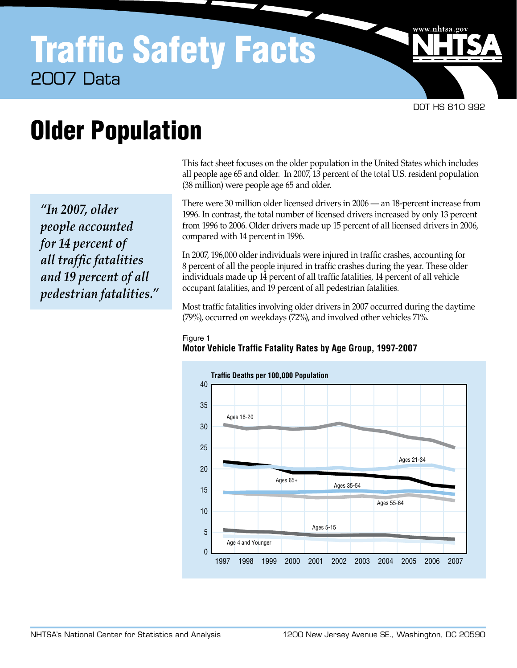DOT HS 810 992

www.nhtsa.go

# Older Population

 *"In 2007, older for 14 percent of all traffic fatalities and 19 percent of all people accounted pedestrian fatalities."*   This fact sheet focuses on the older population in the United States which includes all people age 65 and older. In 2007, 13 percent of the total U.S. resident population (38 million) were people age 65 and older.

 There were 30 million older licensed drivers in 2006 — an 18-percent increase from 1996. In contrast, the total number of licensed drivers increased by only 13 percent from 1996 to 2006. Older drivers made up 15 percent of all licensed drivers in 2006, compared with 14 percent in 1996.

 In 2007, 196,000 older individuals were injured in traffic crashes, accounting for 8 percent of all the people injured in traffic crashes during the year. These older individuals made up 14 percent of all traffic fatalities, 14 percent of all vehicle occupant fatalities, and 19 percent of all pedestrian fatalities.

 Most traffic fatalities involving older drivers in 2007 occurred during the daytime (79%), occurred on weekdays (72%), and involved other vehicles 71%.

## Figure 1 **Motor Vehicle Traffic Fatality Rates by Age Group, 1997-2007**

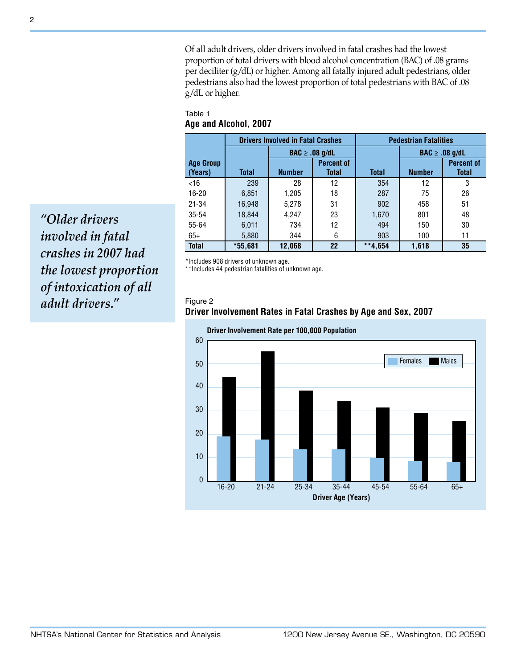Of all adult drivers, older drivers involved in fatal crashes had the lowest proportion of total drivers with blood alcohol concentration (BAC) of .08 grams per deciliter (g/dL) or higher. Among all fatally injured adult pedestrians, older pedestrians also had the lowest proportion of total pedestrians with BAC of .08 g/dL or higher.

# Table 1 **Age and Alcohol, 2007**

|                  |              | <b>Drivers Involved in Fatal Crashes</b> |                              | <b>Pedestrian Fatalities</b> |               |                              |  |  |
|------------------|--------------|------------------------------------------|------------------------------|------------------------------|---------------|------------------------------|--|--|
|                  |              |                                          | $\mathsf{BAC} \geq .08$ g/dL |                              |               | $\mathsf{BAC} \geq .08$ g/dL |  |  |
| <b>Age Group</b> |              |                                          | <b>Percent of</b>            |                              |               | <b>Percent of</b>            |  |  |
| (Years)          | <b>Total</b> | <b>Number</b>                            | <b>Total</b>                 | <b>Total</b>                 | <b>Number</b> | <b>Total</b>                 |  |  |
| <16              | 239          | 28                                       | 12                           | 354                          | 12            | 3                            |  |  |
| $16 - 20$        | 6,851        | 1,205                                    | 18                           | 287                          | 75            | 26                           |  |  |
| $21 - 34$        | 16.948       | 5,278                                    | 31                           | 902                          | 458           | 51                           |  |  |
| $35 - 54$        | 18,844       | 4.247                                    | 23                           | 1,670                        | 801           | 48                           |  |  |
| 55-64            | 6,011        | 734                                      | 12                           | 494                          | 150           | 30                           |  |  |
| $65+$            | 5,880        | 344                                      | 6                            | 903                          | 100           | 11                           |  |  |
| <b>Total</b>     | $*55,681$    | 12,068                                   | 22                           | $**4,654$                    | 1,618         | 35                           |  |  |

\*Includes 908 drivers of unknown age.

\*\*Includes 44 pedestrian fatalities of unknown age.

### Figure 2

# **Driver Involvement Rates in Fatal Crashes by Age and Sex, 2007**



 *involved in fatal crashes in 2007 had the lowest proportion of intoxication of all "Older drivers adult drivers."*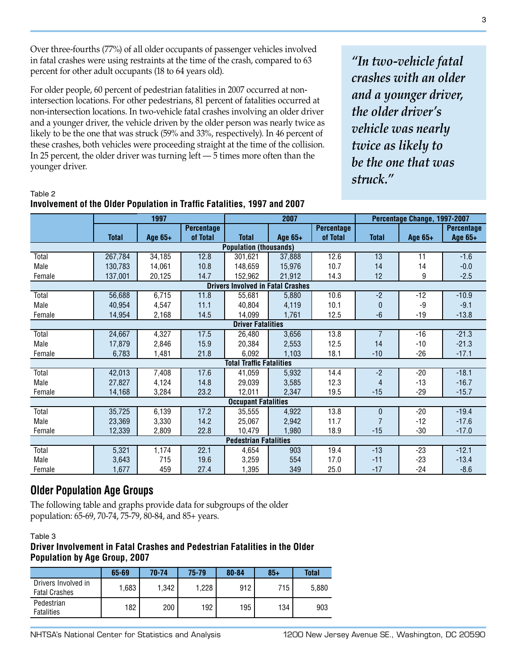Over three-fourths (77%) of all older occupants of passenger vehicles involved in fatal crashes were using restraints at the time of the crash, compared to 63 percent for other adult occupants (18 to 64 years old).

For older people, 60 percent of pedestrian fatalities in 2007 occurred at nonintersection locations. For other pedestrians, 81 percent of fatalities occurred at non-intersection locations. In two-vehicle fatal crashes involving an older driver and a younger driver, the vehicle driven by the older person was nearly twice as likely to be the one that was struck (59% and 33%, respectively). In 46 percent of these crashes, both vehicles were proceeding straight at the time of the collision. In 25 percent, the older driver was turning left — 5 times more often than the younger driver.

**Involvement of the Older Population in Traffic Fatalities, 1997 and 2007** 

 *crashes with an older and a younger driver, the older driver's vehicle was nearly twice as likely to be the one that was "In two-vehicle fatal struck."* 

# **1997 2007 Percentage Change, 1997-2007 Percentage Percentage Percentage Percentage Percentage Percentage Percentage Total Age 65+ of Total Total Age 65+ of Total Total Age 65+ Age 65+ Population (thousands) Drivers Involved in Fatal Crashes**

| Total                                    | 267,784 | 34,185 | 12.8 | 301,621                      | 37,888 | 12.6 | 13           | 11    | $-1.6$  |  |  |  |
|------------------------------------------|---------|--------|------|------------------------------|--------|------|--------------|-------|---------|--|--|--|
| Male                                     | 130,783 | 14,061 | 10.8 | 148,659                      | 15,976 | 10.7 | 14           | 14    | $-0.0$  |  |  |  |
| Female                                   | 137,001 | 20,125 | 14.7 | 152,962                      | 21,912 | 14.3 | 12           | 9     | $-2.5$  |  |  |  |
| <b>Drivers Involved in Fatal Crashes</b> |         |        |      |                              |        |      |              |       |         |  |  |  |
| Total                                    | 56,688  | 6,715  | 11.8 | 55,681                       | 5,880  | 10.6 | $-2$         | $-12$ | $-10.9$ |  |  |  |
| Male                                     | 40,954  | 4,547  | 11.1 | 40.804                       | 4,119  | 10.1 | $\mathbf{0}$ | -9    | $-9.1$  |  |  |  |
| Female                                   | 14,954  | 2,168  | 14.5 | 14,099                       | 1,761  | 12.5 | -6           | $-19$ | $-13.8$ |  |  |  |
| <b>Driver Fatalities</b>                 |         |        |      |                              |        |      |              |       |         |  |  |  |
| Total                                    | 24,667  | 4,327  | 17.5 | 26,480                       | 3,656  | 13.8 |              | $-16$ | $-21.3$ |  |  |  |
| Male                                     | 17,879  | 2,846  | 15.9 | 20,384                       | 2,553  | 12.5 | 14           | $-10$ | $-21.3$ |  |  |  |
| Female                                   | 6,783   | 1,481  | 21.8 | 6,092                        | 1,103  | 18.1 | $-10$        | $-26$ | $-17.1$ |  |  |  |
| <b>Total Traffic Fatalities</b>          |         |        |      |                              |        |      |              |       |         |  |  |  |
| Total                                    | 42,013  | 7,408  | 17.6 | 41,059                       | 5,932  | 14.4 | $-2$         | $-20$ | $-18.1$ |  |  |  |
| Male                                     | 27,827  | 4,124  | 14.8 | 29,039                       | 3,585  | 12.3 | 4            | $-13$ | $-16.7$ |  |  |  |
| Female                                   | 14,168  | 3,284  | 23.2 | 12,011                       | 2,347  | 19.5 | $-15$        | $-29$ | $-15.7$ |  |  |  |
|                                          |         |        |      | <b>Occupant Fatalities</b>   |        |      |              |       |         |  |  |  |
| Total                                    | 35,725  | 6,139  | 17.2 | 35,555                       | 4,922  | 13.8 | $\mathbf{0}$ | $-20$ | $-19.4$ |  |  |  |
| Male                                     | 23,369  | 3,330  | 14.2 | 25,067                       | 2,942  | 11.7 |              | $-12$ | $-17.6$ |  |  |  |
| Female                                   | 12,339  | 2,809  | 22.8 | 10,479                       | 1,980  | 18.9 | $-15$        | $-30$ | $-17.0$ |  |  |  |
|                                          |         |        |      | <b>Pedestrian Fatalities</b> |        |      |              |       |         |  |  |  |
| Total                                    | 5,321   | 1,174  | 22.1 | 4,654                        | 903    | 19.4 | $-13$        | $-23$ | $-12.1$ |  |  |  |
| Male                                     | 3,643   | 715    | 19.6 | 3,259                        | 554    | 17.0 | $-11$        | $-23$ | $-13.4$ |  |  |  |
| Female                                   | 1,677   | 459    | 27.4 | 1,395                        | 349    | 25.0 | $-17$        | $-24$ | $-8.6$  |  |  |  |

# **Older Population Age Groups**

 The following table and graphs provide data for subgroups of the older population: 65-69, 70-74, 75-79, 80-84, and 85+ years.

### Table 3

Table 2

# **Driver Involvement in Fatal Crashes and Pedestrian Fatalities in the Older Population by Age Group, 2007**

|                                             | 65-69 | 70-74 | $75 - 79$ | 80-84 | $85 +$ | <b>Total</b> |
|---------------------------------------------|-------|-------|-----------|-------|--------|--------------|
| Drivers Involved in<br><b>Fatal Crashes</b> | 1.683 | 1.342 | 1,228     | 912   | 715    | 5,880        |
| Pedestrian<br><b>Fatalities</b>             | 182   | 200   | 192       | 195   | 134    | 903          |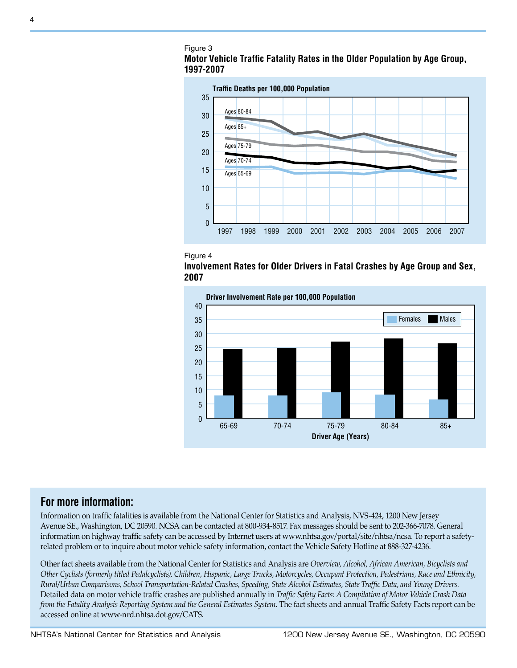









# **For more information:**

 Information on traffic fatalities is available from the National Center for Statistics and Analysis, NVS-424, 1200 New Jersey Avenue SE., Washington, DC 20590. NCSA can be contacted at 800-934-8517. Fax messages should be sent to 202-366-7078. General information on highway traffic safety can be accessed by Internet users at www.nhtsa.gov/portal/site/nhtsa/ncsa. To report a safety-related problem or to inquire about motor vehicle safety information, contact the Vehicle Safety Hotline at 888-327-4236.

 Other fact sheets available from the National Center for Statistics and Analysis are *Overview, Alcohol, African American, Bicyclists and Other Cyclists (formerly titled Pedalcyclists), Children, Hispanic, Large Trucks, Motorcycles, Occupant Protection, Pedestrians, Race and Ethnicity, Rural/Urban Comparisons, School Transportation-Related Crashes, Speeding, State Alcohol Estimates, State Traffic Data, and Young Drivers.*  Detailed data on motor vehicle traffic crashes are published annually in *Traffic Safety Facts: A Compilation of Motor Vehicle Crash Data*  from the Fatality Analysis Reporting System and the General Estimates System. The fact sheets and annual Traffic Safety Facts report can be accessed online at www-nrd.nhtsa.dot.gov/CATS.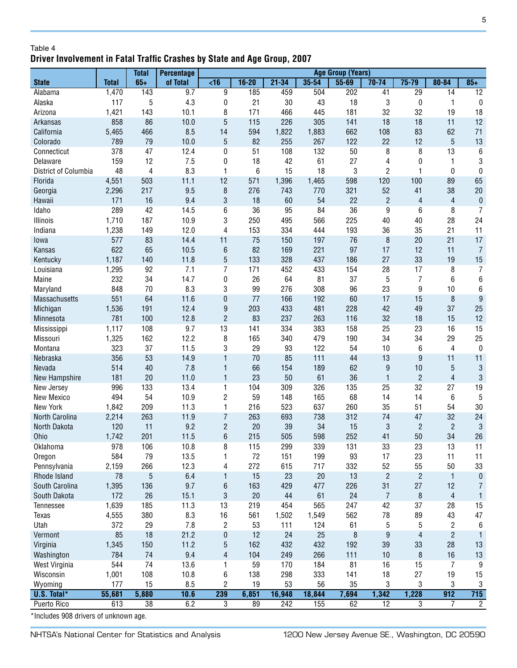# Table 4 **Driver Involvement in Fatal Traffic Crashes by State and Age Group, 2007**

|                      |              | <b>Total</b>    | <b>Percentage</b> | <b>Age Group (Years)</b> |                 |            |            |           |                 |                         |                 |                  |
|----------------------|--------------|-----------------|-------------------|--------------------------|-----------------|------------|------------|-----------|-----------------|-------------------------|-----------------|------------------|
| <b>State</b>         | <b>Total</b> | $65+$           | of Total          | $\overline{5}$           | $16 - 20$       | $21 - 34$  | $35 - 54$  | $55 - 69$ | $70 - 74$       | $75 - 79$               | $80 - 84$       | $85+$            |
| Alabama              | 1,470        | 143             | 9.7               | 9                        | 185             | 459        | 504        | 202       | 41              | $\overline{29}$         | $\overline{14}$ | $\overline{12}$  |
| Alaska               | 117          | 5               | 4.3               | 0                        | 21              | 30         | 43         | 18        | 3               | 0                       | 1               | 0                |
| Arizona              | 1,421        | 143             | 10.1              | 8                        | 171             | 466        | 445        | 181       | 32              | 32                      | 19              | 18               |
| Arkansas             | 858          | 86              | 10.0              | 5                        | 115             | 226        | 305        | 141       | 18              | 18                      | 11              | 12               |
| California           | 5,465        | 466             | 8.5               | 14                       | 594             | 1,822      | 1,883      | 662       | 108             | 83                      | 62              | 71               |
| Colorado             | 789          | 79              | 10.0              | $\overline{5}$           | 82              | 255        | 267        | 122       | 22              | 12                      | $\sqrt{5}$      | 13               |
| Connecticut          | 378          | 47              | 12.4              | 0                        | 51              | 108        | 132        | 50        | 8               | 8                       | 13              | 6                |
| Delaware             | 159          | 12              | 7.5               | 0                        | 18              | 42         | 61         | 27        | 4               | 0                       | 1               | 3                |
| District of Columbia | 48           | 4               | 8.3               | 1                        | $6\phantom{1}6$ | 15         | 18         | 3         | 2               | 1                       | 0               | $\bf{0}$         |
| Florida              | 4,551        | 503             | 11.1              | 12                       | 571             | 1,396      | 1,465      | 598       | 120             | 100                     | 89              | 65               |
| Georgia              | 2,296        | 217             | 9.5               | 8                        | 276             | 743        | 770        | 321       | 52              | 41                      | 38              | 20               |
| Hawaii               | 171          | 16              | 9.4               | 3                        | 18              | 60         | 54         | 22        | $\overline{c}$  | 4                       | $\overline{4}$  | $\pmb{0}$        |
| Idaho                | 289          | 42              | 14.5              | 6                        | 36              | 95         | 84         | 36        | $\overline{9}$  | 6                       | 8               | $\overline{7}$   |
| Illinois             | 1,710        | 187             | 10.9              | 3                        | 250             | 495        | 566        | 225       | 40              | 40                      | 28              | 24               |
| Indiana              | 1,238        | 149             | 12.0              | 4                        | 153             | 334        | 444        | 193       | 36              | 35                      | 21              | 11               |
| lowa                 | 577          | 83              | 14.4              | 11                       | 75              | 150        | 197        | 76        | 8               | 20                      | 21              | 17               |
| Kansas               | 622          | 65              | 10.5              | $\boldsymbol{6}$         | 82              | 169        | 221        | 97        | 17              | 12                      | 11              | $\overline{7}$   |
| Kentucky             | 1,187        | 140             | 11.8              | $\overline{5}$           | 133             | 328        | 437        | 186       | 27              | 33                      | 19              | 15               |
| Louisiana            | 1,295        | 92              | 7.1               | 7                        | 171             | 452        | 433        | 154       | 28              | 17                      | 8               | 7                |
| Maine                | 232          | 34              | 14.7              | 0                        | 26              | 64         | 81         | 37        | 5               | 7                       | 6               | $\,6\,$          |
| Maryland             | 848          | 70              | 8.3               | 3                        | 99              | 276        | 308        | 96        | 23              | 9                       | 10              | 6                |
| Massachusetts        | 551          | 64              | 11.6              | 0                        | 77              | 166        | 192        | 60        | 17              | 15                      | 8               | $\boldsymbol{9}$ |
| Michigan             | 1,536        | 191             | 12.4              | 9                        | 203             | 433        | 481        | 228       | 42              | 49                      | 37              | 25               |
| Minnesota            | 781          | 100             | 12.8              | $\overline{c}$           | 83              | 237        | 263        | 116       | 32              | 18                      | 15              | 12               |
| Mississippi          | 1,117        | 108             | 9.7               | 13                       | 141             | 334        | 383        | 158       | 25              | 23                      | 16              | 15               |
| Missouri             | 1,325        | 162             | 12.2              | 8                        | 165             | 340        | 479        | 190       | 34              | 34                      | 29              | 25               |
| Montana              | 323          | 37              | 11.5              | 3                        | 29              | 93         | 122        | 54        | 10              | 6                       | 4               | $\bf{0}$         |
| Nebraska             | 356          | 53              | 14.9              | $\mathbf{1}$             | 70              | 85         | 111        | 44        | 13              | 9                       | 11              | 11               |
| Nevada               | 514          | 40              | 7.8               | $\mathbf{1}$             | 66              | 154        | 189        | 62        | 9               | 10                      | 5               | $\sqrt{3}$       |
| New Hampshire        | 181          | 20              | 11.0              | $\mathbf{1}$             | 23              | 50         | 61         | 36        | $\mathbf{1}$    | $\overline{c}$          | $\overline{4}$  | $\mathbf{3}$     |
| New Jersey           | 996          | 133             | 13.4              | 1                        | 104             | 309        | 326        | 135       | 25              | 32                      | 27              | 19               |
| New Mexico           | 494          | 54              | 10.9              | $\overline{c}$           | 59              | 148        | 165        | 68        | 14              | 14                      | 6               | $5\,$            |
| New York             | 1,842        | 209             | 11.3              | 1                        | 216             | 523        | 637        | 260       | 35              | 51                      | 54              | 30               |
| North Carolina       | 2,214        | 263             | 11.9              | $\overline{7}$           | 263             | 693        | 738        | 312       | 74              | 47                      | 32              | 24               |
| North Dakota         | 120          | 11              | 9.2               | $\overline{c}$           | 20              | 39         | 34         | 15        | 3               | $\overline{c}$          | $\overline{2}$  | $\mathbf{3}$     |
| <b>Ohio</b>          | 1,742        | 201             | 11.5              | 6                        | 215             | 505        | 598        | 252       | 41              | 50                      | 34              | 26               |
|                      |              |                 |                   |                          |                 |            |            |           |                 |                         |                 |                  |
| Oklahoma             | 978<br>584   | 106<br>79       | 10.8              | 8                        | 115<br>72       | 299<br>151 | 339<br>199 | 131<br>93 | 33<br>17        | 23                      | 13<br>11        | 11               |
| Oregon               | 2,159        | 266             | 13.5<br>12.3      | 1                        | 272             | 615        | 717        |           | 52              | 23<br>55                | 50              | 11               |
| Pennsylvania         |              |                 |                   | 4                        |                 |            |            | 332       |                 |                         |                 | 33               |
| Rhode Island         | 78           | 5               | 6.4               | $\mathbf{1}$             | 15              | 23         | 20         | 13        | $\overline{c}$  | $\overline{\mathbf{c}}$ | $\mathbf{1}$    | $\pmb{0}$        |
| South Carolina       | 1,395        | 136             | 9.7               | 6                        | 163             | 429        | 477        | 226       | 31              | 27                      | 12              | 7                |
| South Dakota         | 172          | 26              | 15.1              | 3                        | 20              | 44         | 61         | 24        | $\overline{7}$  | 8                       | $\overline{4}$  | 1                |
| <b>Tennessee</b>     | 1,639        | 185             | 11.3              | 13                       | 219             | 454        | 565        | 247       | 42              | 37                      | 28              | 15               |
| <b>Texas</b>         | 4,555        | 380             | 8.3               | 16                       | 561             | 1,502      | 1,549      | 562       | 78              | 89                      | 43              | 47               |
| Utah                 | 372          | 29              | 7.8               | $\overline{\mathbf{c}}$  | 53              | 111        | 124        | 61        | 5               | 5                       | 2               | 6                |
| Vermont              | 85           | 18              | 21.2              | $\bf{0}$                 | 12              | 24         | 25         | 8         | 9               | $\overline{4}$          | $\overline{c}$  | $\mathbf{1}$     |
| Virginia             | 1,345        | 150             | 11.2              | 5                        | 162             | 432        | 432        | 192       | 39              | 33                      | 28              | 13               |
| Washington           | 784          | 74              | 9.4               | 4                        | 104             | 249        | 266        | 111       | 10              | 8                       | 16              | 13               |
| West Virginia        | 544          | 74              | 13.6              | 1                        | 59              | 170        | 184        | 81        | 16              | 15                      | 7               | 9                |
| Wisconsin            | 1,001        | 108             | 10.8              | 6                        | 138             | 298        | 333        | 141       | 18              | 27                      | 19              | 15               |
| Wyoming              | 177          | 15              | 8.5               | $\overline{c}$           | 19              | 53         | 56         | 35        | 3               | 3                       | 3               | 3                |
| U.S. Total*          | 55,681       | 5,880           | 10.6              | 239                      | 6,851           | 16,948     | 18,844     | 7,694     | 1,342           | 1,228                   | 912             | 715              |
| Puerto Rico          | 613          | $\overline{38}$ | 6.2               | 3                        | 89              | 242        | 155        | 62        | $\overline{12}$ | 3                       | $\overline{7}$  | $\overline{2}$   |

\*Includes 908 drivers of unknown age.